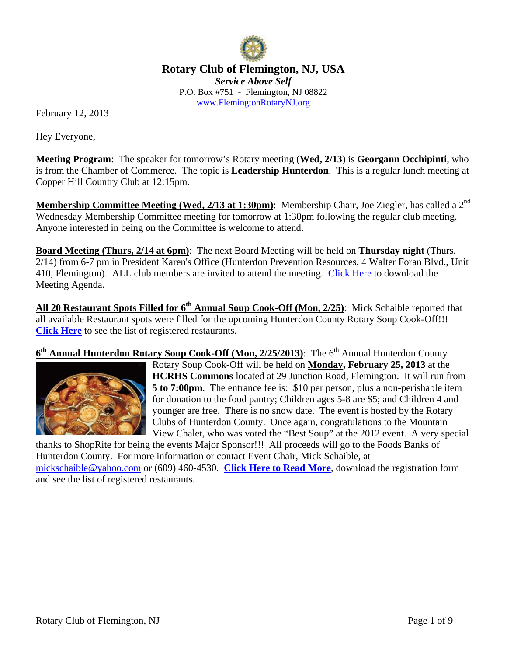

**Rotary Club of Flemington, NJ, USA**  *Service Above Self*  P.O. Box #751 - Flemington, NJ 08822 www.FlemingtonRotaryNJ.org

February 12, 2013

Hey Everyone,

**Meeting Program**: The speaker for tomorrow's Rotary meeting (**Wed, 2/13**) is **Georgann Occhipinti**, who is from the Chamber of Commerce. The topic is **Leadership Hunterdon**. This is a regular lunch meeting at Copper Hill Country Club at 12:15pm.

**Membership Committee Meeting (Wed, 2/13 at 1:30pm)**: Membership Chair, Joe Ziegler, has called a 2<sup>nd</sup> Wednesday Membership Committee meeting for tomorrow at 1:30pm following the regular club meeting. Anyone interested in being on the Committee is welcome to attend.

**Board Meeting (Thurs, 2/14 at 6pm)**: The next Board Meeting will be held on **Thursday night** (Thurs, 2/14) from 6-7 pm in President Karen's Office (Hunterdon Prevention Resources, 4 Walter Foran Blvd., Unit 410, Flemington). ALL club members are invited to attend the meeting. Click Here to download the Meeting Agenda.

All 20 Restaurant Spots Filled for 6<sup>th</sup> Annual Soup Cook-Off (Mon, 2/25): Mick Schaible reported that all available Restaurant spots were filled for the upcoming Hunterdon County Rotary Soup Cook-Off!!! **Click Here** to see the list of registered restaurants.

6<sup>th</sup> Annual Hunterdon Rotary Soup Cook-Off (Mon, 2/25/2013): The 6<sup>th</sup> Annual Hunterdon County



Rotary Soup Cook-Off will be held on **Monday, February 25, 2013** at the **HCRHS Commons** located at 29 Junction Road, Flemington. It will run from **5 to 7:00pm**. The entrance fee is: \$10 per person, plus a non-perishable item for donation to the food pantry; Children ages 5-8 are \$5; and Children 4 and younger are free. There is no snow date. The event is hosted by the Rotary Clubs of Hunterdon County. Once again, congratulations to the Mountain View Chalet, who was voted the "Best Soup" at the 2012 event. A very special

thanks to ShopRite for being the events Major Sponsor!!! All proceeds will go to the Foods Banks of Hunterdon County. For more information or contact Event Chair, Mick Schaible, at mickschaible@yahoo.com or (609) 460-4530. **Click Here to Read More**, download the registration form and see the list of registered restaurants.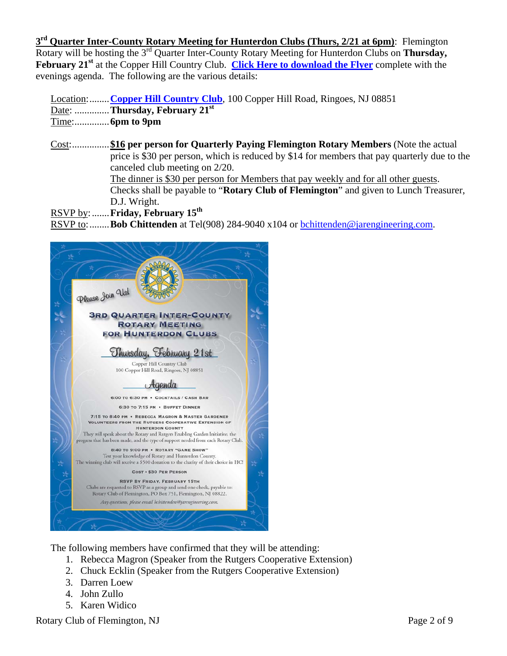**3rd Quarter Inter-County Rotary Meeting for Hunterdon Clubs (Thurs, 2/21 at 6pm)**: Flemington Rotary will be hosting the 3rd Quarter Inter-County Rotary Meeting for Hunterdon Clubs on **Thursday, February 21st** at the Copper Hill Country Club. **Click Here to download the Flyer** complete with the evenings agenda. The following are the various details:

Location: ........ **Copper Hill Country Club**, 100 Copper Hill Road, Ringoes, NJ 08851 Date: .............. **Thursday, February 21st** Time: .............. **6pm to 9pm**

Cost: ............... **\$16 per person for Quarterly Paying Flemington Rotary Members** (Note the actual price is \$30 per person, which is reduced by \$14 for members that pay quarterly due to the canceled club meeting on 2/20. The dinner is \$30 per person for Members that pay weekly and for all other guests. Checks shall be payable to "**Rotary Club of Flemington**" and given to Lunch Treasurer, D.J. Wright.

RSVP by: ....... **Friday, February 15th** 

RSVP to: ........ **Bob Chittenden** at Tel(908) 284-9040 x104 or bchittenden@jarengineering.com.



The following members have confirmed that they will be attending:

- 1. Rebecca Magron (Speaker from the Rutgers Cooperative Extension)
- 2. Chuck Ecklin (Speaker from the Rutgers Cooperative Extension)
- 3. Darren Loew
- 4. John Zullo
- 5. Karen Widico

Rotary Club of Flemington, NJ Page 2 of 9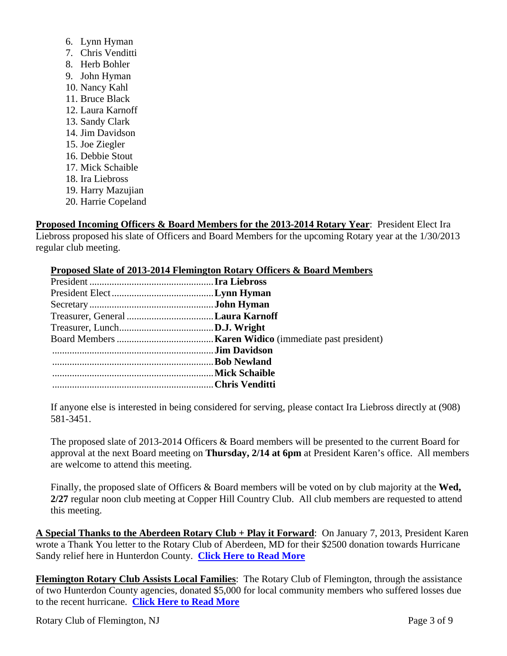- 6. Lynn Hyman
- 7. Chris Venditti
- 8. Herb Bohler
- 9. John Hyman
- 10. Nancy Kahl
- 11. Bruce Black
- 12. Laura Karnoff
- 13. Sandy Clark
- 14. Jim Davidson
- 15. Joe Ziegler
- 16. Debbie Stout
- 17. Mick Schaible
- 18. Ira Liebross
- 19. Harry Mazujian
- 20. Harrie Copeland

**Proposed Incoming Officers & Board Members for the 2013-2014 Rotary Year**: President Elect Ira Liebross proposed his slate of Officers and Board Members for the upcoming Rotary year at the 1/30/2013 regular club meeting.

## **Proposed Slate of 2013-2014 Flemington Rotary Officers & Board Members**

| Treasurer, General Laura Karnoff |  |
|----------------------------------|--|
|                                  |  |
|                                  |  |
|                                  |  |
|                                  |  |
|                                  |  |
|                                  |  |
|                                  |  |

If anyone else is interested in being considered for serving, please contact Ira Liebross directly at (908) 581-3451.

The proposed slate of 2013-2014 Officers & Board members will be presented to the current Board for approval at the next Board meeting on **Thursday, 2/14 at 6pm** at President Karen's office. All members are welcome to attend this meeting.

Finally, the proposed slate of Officers & Board members will be voted on by club majority at the **Wed, 2/27** regular noon club meeting at Copper Hill Country Club. All club members are requested to attend this meeting.

**A Special Thanks to the Aberdeen Rotary Club + Play it Forward**: On January 7, 2013, President Karen wrote a Thank You letter to the Rotary Club of Aberdeen, MD for their \$2500 donation towards Hurricane Sandy relief here in Hunterdon County. **Click Here to Read More**

**Flemington Rotary Club Assists Local Families**: The Rotary Club of Flemington, through the assistance of two Hunterdon County agencies, donated \$5,000 for local community members who suffered losses due to the recent hurricane. **Click Here to Read More**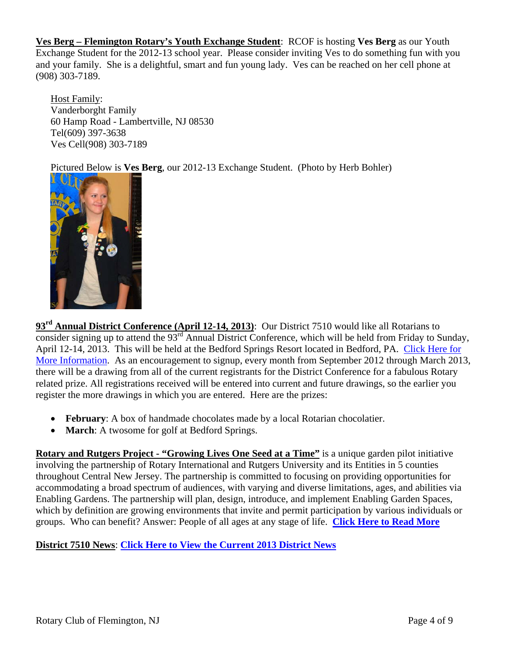**Ves Berg – Flemington Rotary's Youth Exchange Student**: RCOF is hosting **Ves Berg** as our Youth Exchange Student for the 2012-13 school year. Please consider inviting Ves to do something fun with you and your family. She is a delightful, smart and fun young lady. Ves can be reached on her cell phone at (908) 303-7189.

Host Family: Vanderborght Family 60 Hamp Road - Lambertville, NJ 08530 Tel(609) 397-3638 Ves Cell(908) 303-7189

Pictured Below is **Ves Berg**, our 2012-13 Exchange Student. (Photo by Herb Bohler)



**93rd Annual District Conference (April 12-14, 2013)**: Our District 7510 would like all Rotarians to consider signing up to attend the  $93<sup>rd</sup>$  Annual District Conference, which will be held from Friday to Sunday, April 12-14, 2013. This will be held at the Bedford Springs Resort located in Bedford, PA. Click Here for More Information. As an encouragement to signup, every month from September 2012 through March 2013, there will be a drawing from all of the current registrants for the District Conference for a fabulous Rotary related prize. All registrations received will be entered into current and future drawings, so the earlier you register the more drawings in which you are entered. Here are the prizes:

- **February**: A box of handmade chocolates made by a local Rotarian chocolatier.
- **March**: A twosome for golf at Bedford Springs.

**Rotary and Rutgers Project - "Growing Lives One Seed at a Time"** is a unique garden pilot initiative involving the partnership of Rotary International and Rutgers University and its Entities in 5 counties throughout Central New Jersey. The partnership is committed to focusing on providing opportunities for accommodating a broad spectrum of audiences, with varying and diverse limitations, ages, and abilities via Enabling Gardens. The partnership will plan, design, introduce, and implement Enabling Garden Spaces, which by definition are growing environments that invite and permit participation by various individuals or groups. Who can benefit? Answer: People of all ages at any stage of life. **Click Here to Read More**

## **District 7510 News**: **Click Here to View the Current 2013 District News**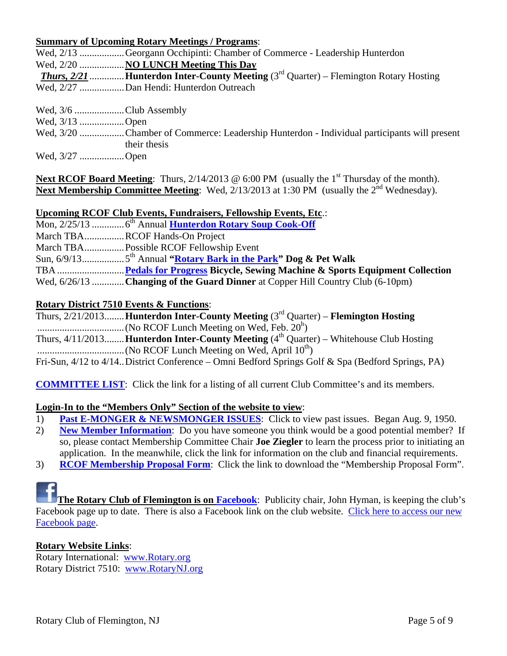#### **Summary of Upcoming Rotary Meetings / Programs**:

| Wed, 2/13 Georgann Occhipinti: Chamber of Commerce - Leadership Hunterdon                        |
|--------------------------------------------------------------------------------------------------|
| Wed, 2/20  NO LUNCH Meeting This Day                                                             |
| <b>Thurs, 2/21 Hunterdon Inter-County Meeting</b> $(3^{rd}$ Quarter) – Flemington Rotary Hosting |
| Wed, 2/27 Dan Hendi: Hunterdon Outreach                                                          |

Wed,  $3/6$  .........................Club Assembly

Wed, 3/13 .................. Open

Wed, 3/20 .................. Chamber of Commerce: Leadership Hunterdon - Individual participants will present their thesis

Wed, 3/27 .................. Open

**Next RCOF Board Meeting**: Thurs, 2/14/2013 @ 6:00 PM (usually the 1<sup>st</sup> Thursday of the month). **Next Membership Committee Meeting**: Wed, 2/13/2013 at 1:30 PM (usually the 2<sup>nd</sup> Wednesday).

### **Upcoming RCOF Club Events, Fundraisers, Fellowship Events, Etc**.:

| March TBARCOF Hands-On Project                                                 |
|--------------------------------------------------------------------------------|
| March TBA Possible RCOF Fellowship Event                                       |
|                                                                                |
|                                                                                |
| Wed, 6/26/13 Changing of the Guard Dinner at Copper Hill Country Club (6-10pm) |

### **Rotary District 7510 Events & Functions**:

| Thurs, $2/21/2013$ Hunterdon Inter-County Meeting ( $3rd$ Quarter) – Flemington Hosting                 |
|---------------------------------------------------------------------------------------------------------|
|                                                                                                         |
| Thurs, $4/11/2013$ <b>Hunterdon Inter-County Meeting</b> $(4th$ Quarter) – Whitehouse Club Hosting      |
|                                                                                                         |
| Fri-Sun, $4/12$ to $4/14$ . District Conference – Omni Bedford Springs Golf & Spa (Bedford Springs, PA) |

**COMMITTEE LIST**: Click the link for a listing of all current Club Committee's and its members.

### **Login-In to the "Members Only" Section of the website to view**:

- 1) **Past E-MONGER & NEWSMONGER ISSUES**: Click to view past issues. Began Aug. 9, 1950.
- 2) **New Member Information**: Do you have someone you think would be a good potential member? If so, please contact Membership Committee Chair **Joe Ziegler** to learn the process prior to initiating an application. In the meanwhile, click the link for information on the club and financial requirements.
- 3) **RCOF Membership Proposal Form**: Click the link to download the "Membership Proposal Form".



**The Rotary Club of Flemington is on Facebook:** Publicity chair, John Hyman, is keeping the club's Facebook page up to date. There is also a Facebook link on the club website. Click here to access our new Facebook page.

### **Rotary Website Links**:

Rotary International: www.Rotary.org Rotary District 7510: www.RotaryNJ.org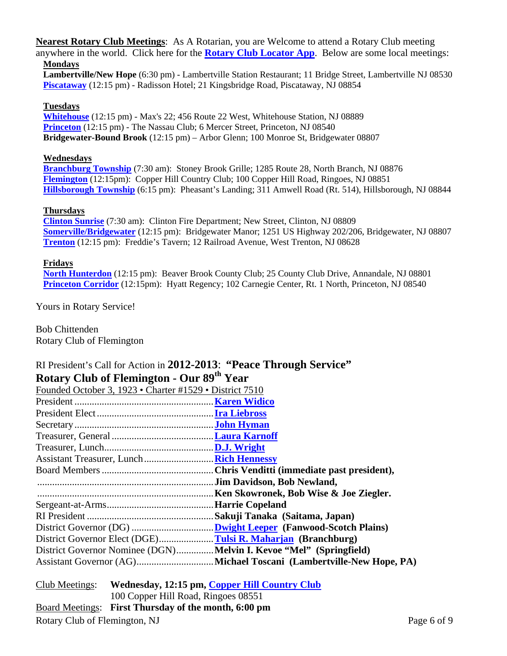**Nearest Rotary Club Meetings**: As A Rotarian, you are Welcome to attend a Rotary Club meeting anywhere in the world. Click here for the **Rotary Club Locator App**. Below are some local meetings: **Mondays** 

**Lambertville/New Hope** (6:30 pm) - Lambertville Station Restaurant; 11 Bridge Street, Lambertville NJ 08530 **Piscataway** (12:15 pm) - Radisson Hotel; 21 Kingsbridge Road, Piscataway, NJ 08854

#### **Tuesdays**

**Whitehouse** (12:15 pm) - Max's 22; 456 Route 22 West, Whitehouse Station, NJ 08889 **Princeton** (12:15 pm) - The Nassau Club; 6 Mercer Street, Princeton, NJ 08540 **Bridgewater-Bound Brook** (12:15 pm) – Arbor Glenn; 100 Monroe St, Bridgewater 08807

#### **Wednesdays**

**Branchburg Township** (7:30 am): Stoney Brook Grille; 1285 Route 28, North Branch, NJ 08876 **Flemington** (12:15pm): Copper Hill Country Club; 100 Copper Hill Road, Ringoes, NJ 08851 **Hillsborough Township** (6:15 pm): Pheasant's Landing; 311 Amwell Road (Rt. 514), Hillsborough, NJ 08844

#### **Thursdays**

**Clinton Sunrise** (7:30 am): Clinton Fire Department; New Street, Clinton, NJ 08809 **Somerville/Bridgewater** (12:15 pm): Bridgewater Manor; 1251 US Highway 202/206, Bridgewater, NJ 08807 **Trenton** (12:15 pm): Freddie's Tavern; 12 Railroad Avenue, West Trenton, NJ 08628

#### **Fridays**

**North Hunterdon** (12:15 pm): Beaver Brook County Club; 25 County Club Drive, Annandale, NJ 08801 **Princeton Corridor** (12:15pm): Hyatt Regency; 102 Carnegie Center, Rt. 1 North, Princeton, NJ 08540

Yours in Rotary Service!

Bob Chittenden Rotary Club of Flemington

## RI President's Call for Action in **2012-2013**: **"Peace Through Service" Rotary Club of Flemington - Our 89th Year**

| Founded October 3, 1923 • Charter #1529 • District 7510            |                                        |
|--------------------------------------------------------------------|----------------------------------------|
|                                                                    |                                        |
|                                                                    |                                        |
|                                                                    |                                        |
|                                                                    |                                        |
|                                                                    |                                        |
|                                                                    |                                        |
|                                                                    |                                        |
|                                                                    | .Jim Davidson, Bob Newland,            |
|                                                                    | Ken Skowronek, Bob Wise & Joe Ziegler. |
|                                                                    |                                        |
|                                                                    |                                        |
|                                                                    |                                        |
| District Governor Elect (DGE)Tulsi R. Maharjan (Branchburg)        |                                        |
| District Governor Nominee (DGN)Melvin I. Kevoe "Mel" (Springfield) |                                        |
|                                                                    |                                        |
|                                                                    |                                        |

Rotary Club of Flemington, NJ Page 6 of 9 Club Meetings: **Wednesday, 12:15 pm, Copper Hill Country Club** 100 Copper Hill Road, Ringoes 08551 Board Meetings: **First Thursday of the month, 6:00 pm**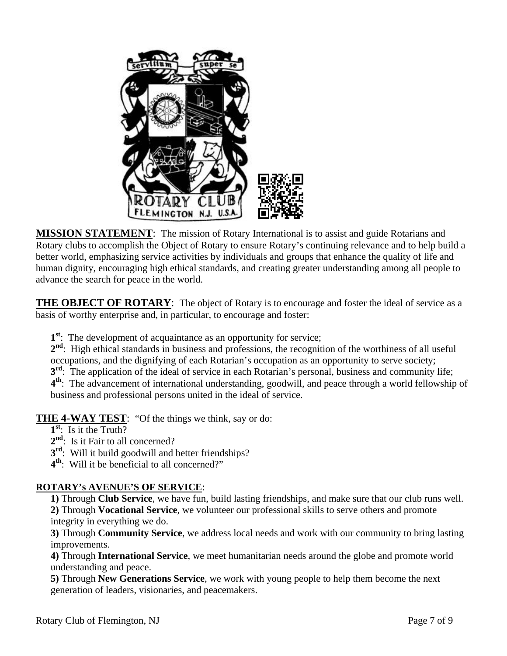

**MISSION STATEMENT**: The mission of Rotary International is to assist and guide Rotarians and Rotary clubs to accomplish the Object of Rotary to ensure Rotary's continuing relevance and to help build a better world, emphasizing service activities by individuals and groups that enhance the quality of life and human dignity, encouraging high ethical standards, and creating greater understanding among all people to advance the search for peace in the world.

**THE OBJECT OF ROTARY:** The object of Rotary is to encourage and foster the ideal of service as a basis of worthy enterprise and, in particular, to encourage and foster:

**1st**: The development of acquaintance as an opportunity for service;

2<sup>nd</sup>: High ethical standards in business and professions, the recognition of the worthiness of all useful occupations, and the dignifying of each Rotarian's occupation as an opportunity to serve society; **3<sup>rd</sup>:** The application of the ideal of service in each Rotarian's personal, business and community life; **4th**: The advancement of international understanding, goodwill, and peace through a world fellowship of business and professional persons united in the ideal of service.

**THE 4-WAY TEST**: "Of the things we think, say or do:

- **1st**: Is it the Truth?
- 2<sup>nd</sup>: Is it Fair to all concerned?
- **3<sup>rd</sup>:** Will it build goodwill and better friendships?
- **4th**: Will it be beneficial to all concerned?"

## **ROTARY's AVENUE'S OF SERVICE**:

**1)** Through **Club Service**, we have fun, build lasting friendships, and make sure that our club runs well. **2)** Through **Vocational Service**, we volunteer our professional skills to serve others and promote integrity in everything we do.

**3)** Through **Community Service**, we address local needs and work with our community to bring lasting improvements.

**4)** Through **International Service**, we meet humanitarian needs around the globe and promote world understanding and peace.

**5)** Through **New Generations Service**, we work with young people to help them become the next generation of leaders, visionaries, and peacemakers.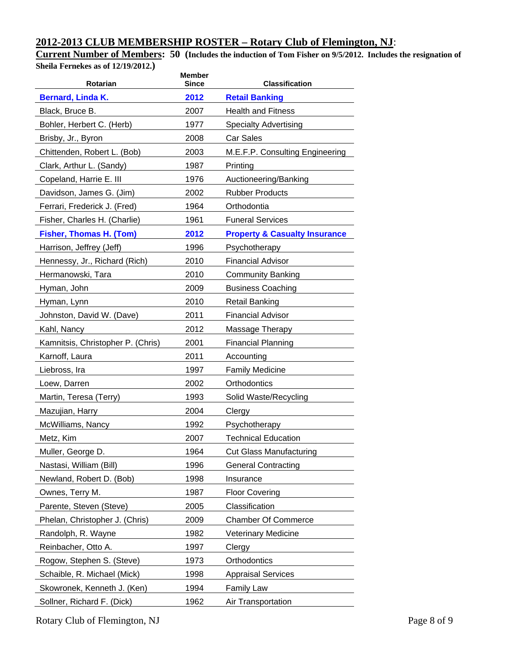# **2012-2013 CLUB MEMBERSHIP ROSTER – Rotary Club of Flemington, NJ**:

**Current Number of Members: 50 (Includes the induction of Tom Fisher on 9/5/2012. Includes the resignation of Sheila Fernekes as of 12/19/2012.)** 

| Rotarian                          | <b>Member</b><br><b>Since</b> | <b>Classification</b>                    |
|-----------------------------------|-------------------------------|------------------------------------------|
| <b>Bernard, Linda K.</b>          | 2012                          | <b>Retail Banking</b>                    |
| Black, Bruce B.                   | 2007                          | <b>Health and Fitness</b>                |
| Bohler, Herbert C. (Herb)         | 1977                          | <b>Specialty Advertising</b>             |
| Brisby, Jr., Byron                | 2008                          | <b>Car Sales</b>                         |
| Chittenden, Robert L. (Bob)       | 2003                          | M.E.F.P. Consulting Engineering          |
| Clark, Arthur L. (Sandy)          | 1987                          | Printing                                 |
| Copeland, Harrie E. III           | 1976                          | Auctioneering/Banking                    |
| Davidson, James G. (Jim)          | 2002                          | <b>Rubber Products</b>                   |
| Ferrari, Frederick J. (Fred)      | 1964                          | Orthodontia                              |
| Fisher, Charles H. (Charlie)      | 1961                          | <b>Funeral Services</b>                  |
| <b>Fisher, Thomas H. (Tom)</b>    | 2012                          | <b>Property &amp; Casualty Insurance</b> |
| Harrison, Jeffrey (Jeff)          | 1996                          | Psychotherapy                            |
| Hennessy, Jr., Richard (Rich)     | 2010                          | <b>Financial Advisor</b>                 |
| Hermanowski, Tara                 | 2010                          | <b>Community Banking</b>                 |
| Hyman, John                       | 2009                          | <b>Business Coaching</b>                 |
| Hyman, Lynn                       | 2010                          | <b>Retail Banking</b>                    |
| Johnston, David W. (Dave)         | 2011                          | <b>Financial Advisor</b>                 |
| Kahl, Nancy                       | 2012                          | Massage Therapy                          |
| Kamnitsis, Christopher P. (Chris) | 2001                          | <b>Financial Planning</b>                |
| Karnoff, Laura                    | 2011                          | Accounting                               |
| Liebross, Ira                     | 1997                          | <b>Family Medicine</b>                   |
| Loew, Darren                      | 2002                          | Orthodontics                             |
| Martin, Teresa (Terry)            | 1993                          | Solid Waste/Recycling                    |
| Mazujian, Harry                   | 2004                          | Clergy                                   |
| McWilliams, Nancy                 | 1992                          | Psychotherapy                            |
| Metz, Kim                         | 2007                          | <b>Technical Education</b>               |
| Muller, George D.                 | 1964                          | <b>Cut Glass Manufacturing</b>           |
| Nastasi, William (Bill)           | 1996                          | <b>General Contracting</b>               |
| Newland, Robert D. (Bob)          | 1998                          | Insurance                                |
| Ownes, Terry M.                   | 1987                          | <b>Floor Covering</b>                    |
| Parente, Steven (Steve)           | 2005                          | Classification                           |
| Phelan, Christopher J. (Chris)    | 2009                          | <b>Chamber Of Commerce</b>               |
| Randolph, R. Wayne                | 1982                          | <b>Veterinary Medicine</b>               |
| Reinbacher, Otto A.               | 1997                          | Clergy                                   |
| Rogow, Stephen S. (Steve)         | 1973                          | Orthodontics                             |
| Schaible, R. Michael (Mick)       | 1998                          | <b>Appraisal Services</b>                |
| Skowronek, Kenneth J. (Ken)       | 1994                          | Family Law                               |
| Sollner, Richard F. (Dick)        | 1962                          | Air Transportation                       |

Rotary Club of Flemington, NJ Page 8 of 9